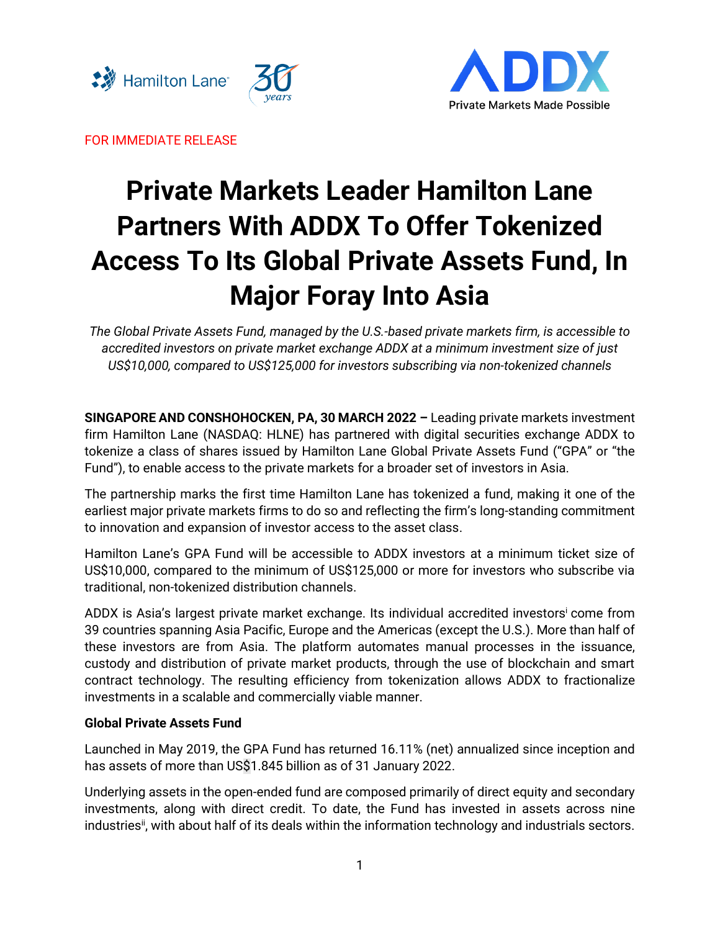



FOR IMMEDIATE RELEASE

# **Private Markets Leader Hamilton Lane Partners With ADDX To Offer Tokenized Access To Its Global Private Assets Fund, In Major Foray Into Asia**

*The Global Private Assets Fund, managed by the U.S.-based private markets firm, is accessible to accredited investors on private market exchange ADDX at a minimum investment size of just US\$10,000, compared to US\$125,000 for investors subscribing via non-tokenized channels*

**SINGAPORE AND CONSHOHOCKEN, PA, 30 MARCH 2022 –** Leading private markets investment firm Hamilton Lane (NASDAQ: HLNE) has partnered with digital securities exchange ADDX to tokenize a class of shares issued by Hamilton Lane Global Private Assets Fund ("GPA" or "the Fund"), to enable access to the private markets for a broader set of investors in Asia.

The partnership marks the first time Hamilton Lane has tokenized a fund, making it one of the earliest major private markets firms to do so and reflecting the firm's long-standing commitment to innovation and expansion of investor access to the asset class.

Hamilton Lane's GPA Fund will be accessible to ADDX investors at a minimum ticket size of US\$10,000, compared to the minimum of US\$125,000 or more for investors who subscribe via traditional, non-tokenized distribution channels.

ADDX is Asia's largest private market exchange. Its individual accredited investors come from 39 countries spanning Asia Pacific, Europe and the Americas (except the U.S.). More than half of these investors are from Asia. The platform automates manual processes in the issuance, custody and distribution of private market products, through the use of blockchain and smart contract technology. The resulting efficiency from tokenization allows ADDX to fractionalize investments in a scalable and commercially viable manner.

## **Global Private Assets Fund**

Launched in May 2019, the GPA Fund has returned 16.11% (net) annualized since inception and has assets of more than US\$1.845 billion as of 31 January 2022.

Underlying assets in the open-ended fund are composed primarily of direct equity and secondary investments, along with direct credit. To date, the Fund has invested in assets across nine industries<sup>ii</sup>, with about half of its deals within the information technology and industrials sectors.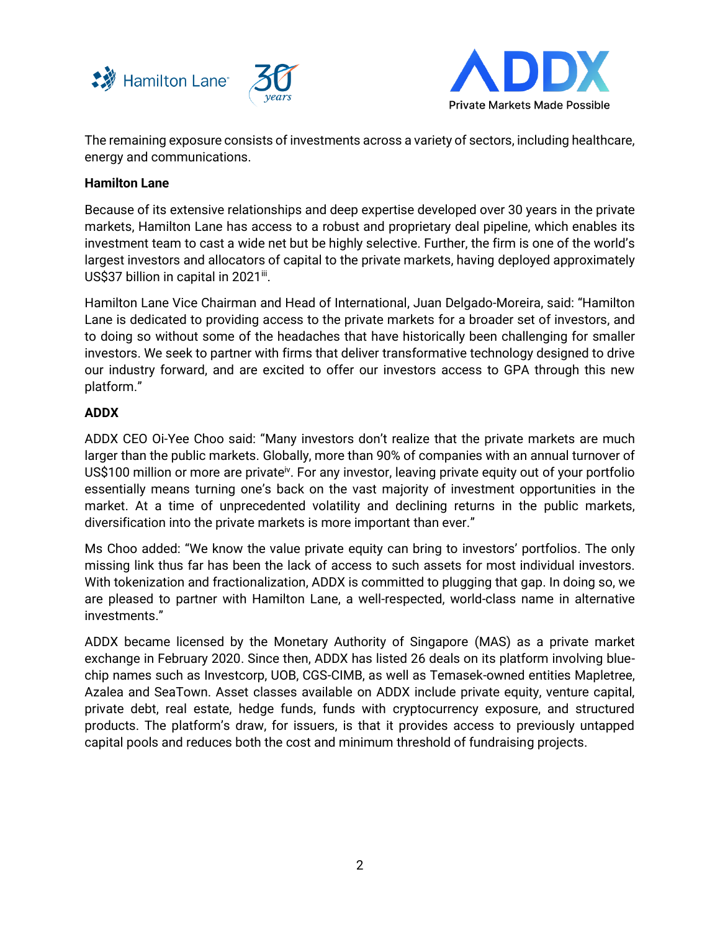



The remaining exposure consists of investments across a variety of sectors, including healthcare, energy and communications.

### **Hamilton Lane**

Because of its extensive relationships and deep expertise developed over 30 years in the private markets, Hamilton Lane has access to a robust and proprietary deal pipeline, which enables its investment team to cast a wide net but be highly selective. Further, the firm is one of the world's largest investors and allocators of capital to the private markets, having deployed approximately US\$37 billion in capital in 2021ii.

Hamilton Lane Vice Chairman and Head of International, Juan Delgado-Moreira, said: "Hamilton Lane is dedicated to providing access to the private markets for a broader set of investors, and to doing so without some of the headaches that have historically been challenging for smaller investors. We seek to partner with firms that deliver transformative technology designed to drive our industry forward, and are excited to offer our investors access to GPA through this new platform."

### **ADDX**

ADDX CEO Oi-Yee Choo said: "Many investors don't realize that the private markets are much larger than the public markets. Globally, more than 90% of companies with an annual turnover of US\$100 million or more are private<sup>iv</sup>. For any investor, leaving private equity out of your portfolio essentially means turning one's back on the vast majority of investment opportunities in the market. At a time of unprecedented volatility and declining returns in the public markets, diversification into the private markets is more important than ever."

Ms Choo added: "We know the value private equity can bring to investors' portfolios. The only missing link thus far has been the lack of access to such assets for most individual investors. With tokenization and fractionalization, ADDX is committed to plugging that gap. In doing so, we are pleased to partner with Hamilton Lane, a well-respected, world-class name in alternative investments."

ADDX became licensed by the Monetary Authority of Singapore (MAS) as a private market exchange in February 2020. Since then, ADDX has listed 26 deals on its platform involving bluechip names such as Investcorp, UOB, CGS-CIMB, as well as Temasek-owned entities Mapletree, Azalea and SeaTown. Asset classes available on ADDX include private equity, venture capital, private debt, real estate, hedge funds, funds with cryptocurrency exposure, and structured products. The platform's draw, for issuers, is that it provides access to previously untapped capital pools and reduces both the cost and minimum threshold of fundraising projects.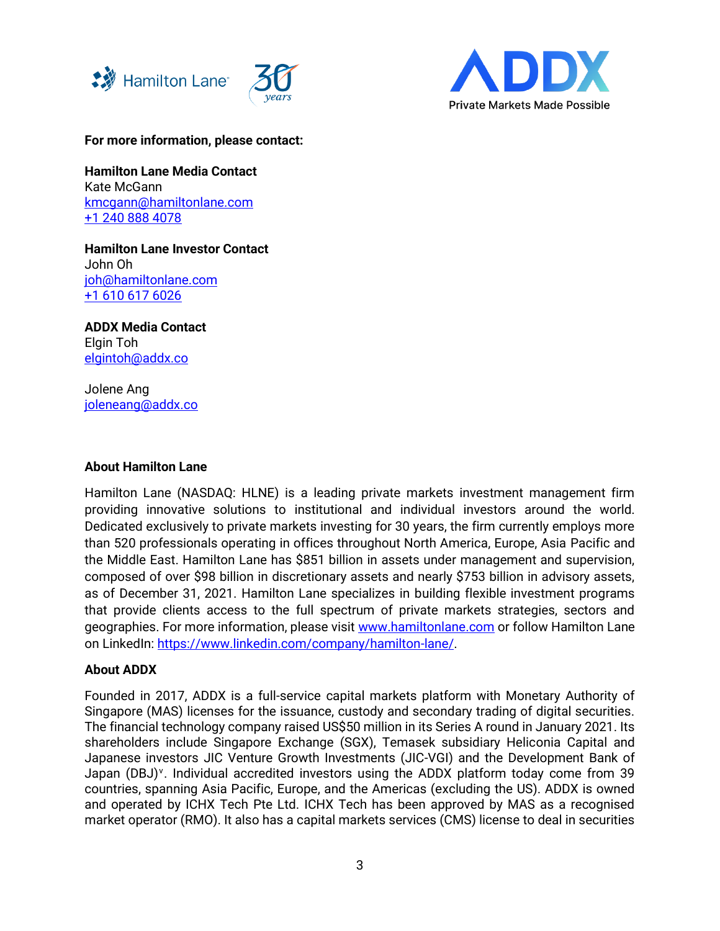



**For more information, please contact:**

**Hamilton Lane Media Contact** Kate McGann [kmcgann@hamiltonlane.com](mailto:kmcgann@hamiltonlane.com) [+1 240 888 4078](tel:+1%20240%20888%204078)

**Hamilton Lane Investor Contact** John Oh [joh@hamiltonlane.com](mailto:joh@hamiltonlane.com) [+1 610 617 6026](tel:+1%20610%20617%206026)

**ADDX Media Contact** Elgin Toh [elgintoh@addx.co](mailto:elgintoh@addx.co)

Jolene Ang [joleneang@addx.co](mailto:joleneang@addx.co)

#### **About Hamilton Lane**

Hamilton Lane (NASDAQ: HLNE) is a leading private markets investment management firm providing innovative solutions to institutional and individual investors around the world. Dedicated exclusively to private markets investing for 30 years, the firm currently employs more than 520 professionals operating in offices throughout North America, Europe, Asia Pacific and the Middle East. Hamilton Lane has \$851 billion in assets under management and supervision, composed of over \$98 billion in discretionary assets and nearly \$753 billion in advisory assets, as of December 31, 2021. Hamilton Lane specializes in building flexible investment programs that provide clients access to the full spectrum of private markets strategies, sectors and geographies. For more information, please visit [www.hamiltonlane.com](http://www.hamiltonlane.com/) or follow Hamilton Lane on LinkedIn: [https://www.linkedin.com/company/hamilton-lane/.](https://www.linkedin.com/company/hamilton-lane/)

#### **About ADDX**

Founded in 2017, ADDX is a full-service capital markets platform with Monetary Authority of Singapore (MAS) licenses for the issuance, custody and secondary trading of digital securities. The financial technology company raised US\$50 million in its Series A round in January 2021. Its shareholders include Singapore Exchange (SGX), Temasek subsidiary Heliconia Capital and Japanese investors JIC Venture Growth Investments (JIC-VGI) and the Development Bank of Japan (DBJ)<sup>v</sup>. Individual accredited investors using the ADDX platform today come from 39 countries, spanning Asia Pacific, Europe, and the Americas (excluding the US). ADDX is owned and operated by ICHX Tech Pte Ltd. ICHX Tech has been approved by MAS as a recognised market operator (RMO). It also has a capital markets services (CMS) license to deal in securities